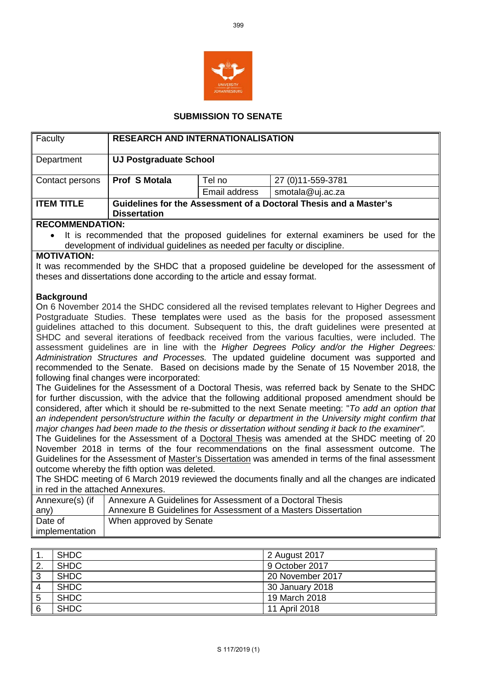

## **SUBMISSION TO SENATE**

| Faculty                                                                                                                                                                                                                                                                                                                                                                                                                                                                                                                                                                                                                                                                                                                                   | <b>RESEARCH AND INTERNATIONALISATION</b>                                                 |               |                    |  |
|-------------------------------------------------------------------------------------------------------------------------------------------------------------------------------------------------------------------------------------------------------------------------------------------------------------------------------------------------------------------------------------------------------------------------------------------------------------------------------------------------------------------------------------------------------------------------------------------------------------------------------------------------------------------------------------------------------------------------------------------|------------------------------------------------------------------------------------------|---------------|--------------------|--|
| Department                                                                                                                                                                                                                                                                                                                                                                                                                                                                                                                                                                                                                                                                                                                                | <b>UJ Postgraduate School</b>                                                            |               |                    |  |
| Contact persons                                                                                                                                                                                                                                                                                                                                                                                                                                                                                                                                                                                                                                                                                                                           | <b>Prof S Motala</b>                                                                     | Tel no        | 27 (0) 11-559-3781 |  |
|                                                                                                                                                                                                                                                                                                                                                                                                                                                                                                                                                                                                                                                                                                                                           |                                                                                          | Email address | smotala@uj.ac.za   |  |
| <b>ITEM TITLE</b>                                                                                                                                                                                                                                                                                                                                                                                                                                                                                                                                                                                                                                                                                                                         | Guidelines for the Assessment of a Doctoral Thesis and a Master's<br><b>Dissertation</b> |               |                    |  |
| <b>RECOMMENDATION:</b>                                                                                                                                                                                                                                                                                                                                                                                                                                                                                                                                                                                                                                                                                                                    |                                                                                          |               |                    |  |
| It is recommended that the proposed guidelines for external examiners be used for the<br>development of individual guidelines as needed per faculty or discipline.                                                                                                                                                                                                                                                                                                                                                                                                                                                                                                                                                                        |                                                                                          |               |                    |  |
| <b>MOTIVATION:</b>                                                                                                                                                                                                                                                                                                                                                                                                                                                                                                                                                                                                                                                                                                                        |                                                                                          |               |                    |  |
| It was recommended by the SHDC that a proposed guideline be developed for the assessment of<br>theses and dissertations done according to the article and essay format.                                                                                                                                                                                                                                                                                                                                                                                                                                                                                                                                                                   |                                                                                          |               |                    |  |
| <b>Background</b>                                                                                                                                                                                                                                                                                                                                                                                                                                                                                                                                                                                                                                                                                                                         |                                                                                          |               |                    |  |
| On 6 November 2014 the SHDC considered all the revised templates relevant to Higher Degrees and<br>Postgraduate Studies. These templates were used as the basis for the proposed assessment<br>guidelines attached to this document. Subsequent to this, the draft guidelines were presented at<br>SHDC and several iterations of feedback received from the various faculties, were included. The<br>assessment guidelines are in line with the Higher Degrees Policy and/or the Higher Degrees:<br>Administration Structures and Processes. The updated guideline document was supported and<br>recommended to the Senate. Based on decisions made by the Senate of 15 November 2018, the<br>following final changes were incorporated: |                                                                                          |               |                    |  |

The Guidelines for the Assessment of a Doctoral Thesis, was referred back by Senate to the SHDC for further discussion, with the advice that the following additional proposed amendment should be considered, after which it should be re-submitted to the next Senate meeting: "*To add an option that an independent person/structure within the faculty or department in the University might confirm that major changes had been made to the thesis or dissertation without sending it back to the examiner".* 

The Guidelines for the Assessment of a Doctoral Thesis was amended at the SHDC meeting of 20 November 2018 in terms of the four recommendations on the final assessment outcome. The Guidelines for the Assessment of Master's Dissertation was amended in terms of the final assessment outcome whereby the fifth option was deleted.

The SHDC meeting of 6 March 2019 reviewed the documents finally and all the changes are indicated in red in the attached Annexures.

| Annexure(s) (if | Annexure A Guidelines for Assessment of a Doctoral Thesis      |  |  |
|-----------------|----------------------------------------------------------------|--|--|
| any)            | Annexure B Guidelines for Assessment of a Masters Dissertation |  |  |
| Date of         | When approved by Senate                                        |  |  |
| implementation  |                                                                |  |  |

|   | <b>SHDC</b> | 2 August 2017    |
|---|-------------|------------------|
|   | <b>SHDC</b> | 9 October 2017   |
| ◠ | <b>SHDC</b> | 20 November 2017 |
|   | <b>SHDC</b> | 30 January 2018  |
|   | <b>SHDC</b> | 19 March 2018    |
|   | <b>SHDC</b> | 11 April 2018    |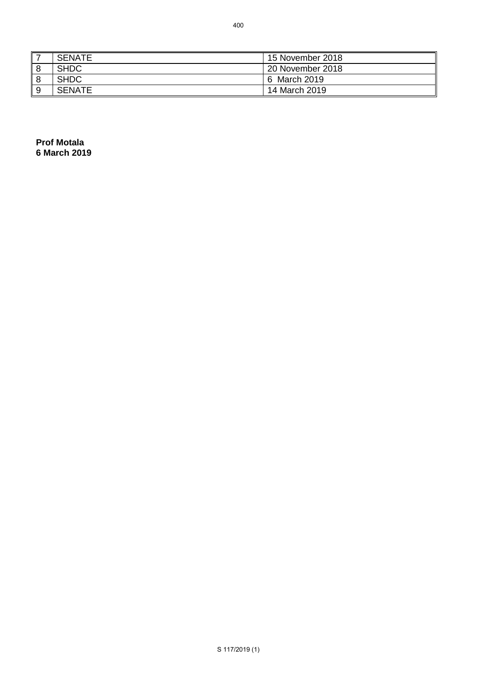**Prof Motala 6 March 2019**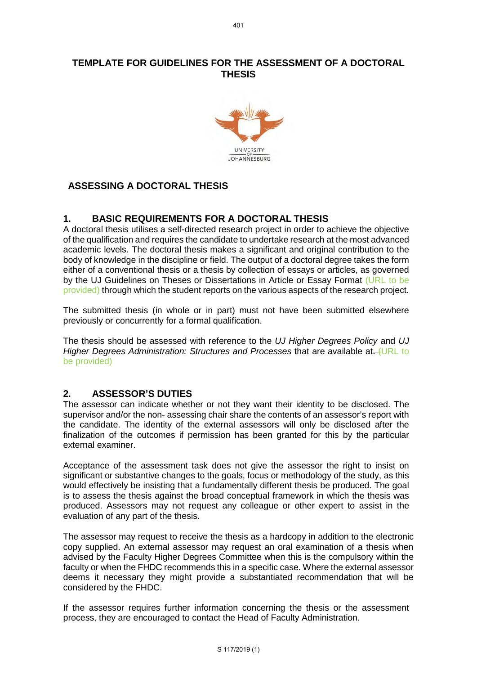# **TEMPLATE FOR GUIDELINES FOR THE ASSESSMENT OF A DOCTORAL THESIS**



# **ASSESSING A DOCTORAL THESIS**

# **1. BASIC REQUIREMENTS FOR A DOCTORAL THESIS**

A doctoral thesis utilises a self-directed research project in order to achieve the objective of the qualification and requires the candidate to undertake research at the most advanced academic levels. The doctoral thesis makes a significant and original contribution to the body of knowledge in the discipline or field. The output of a doctoral degree takes the form either of a conventional thesis or a thesis by collection of essays or articles, as governed by the UJ Guidelines on Theses or Dissertations in Article or Essay Format (URL to be provided) through which the student reports on the various aspects of the research project.

The submitted thesis (in whole or in part) must not have been submitted elsewhere previously or concurrently for a formal qualification.

The thesis should be assessed with reference to the *UJ Higher Degrees Policy* and *UJ Higher Degrees Administration: Structures and Processes that are available at-(URL to* be provided)

# **2. ASSESSOR'S DUTIES**

The assessor can indicate whether or not they want their identity to be disclosed. The supervisor and/or the non- assessing chair share the contents of an assessor's report with the candidate. The identity of the external assessors will only be disclosed after the finalization of the outcomes if permission has been granted for this by the particular external examiner.

Acceptance of the assessment task does not give the assessor the right to insist on significant or substantive changes to the goals, focus or methodology of the study, as this would effectively be insisting that a fundamentally different thesis be produced. The goal is to assess the thesis against the broad conceptual framework in which the thesis was produced. Assessors may not request any colleague or other expert to assist in the evaluation of any part of the thesis.

The assessor may request to receive the thesis as a hardcopy in addition to the electronic copy supplied. An external assessor may request an oral examination of a thesis when advised by the Faculty Higher Degrees Committee when this is the compulsory within the faculty or when the FHDC recommends this in a specific case. Where the external assessor deems it necessary they might provide a substantiated recommendation that will be considered by the FHDC.

If the assessor requires further information concerning the thesis or the assessment process, they are encouraged to contact the Head of Faculty Administration.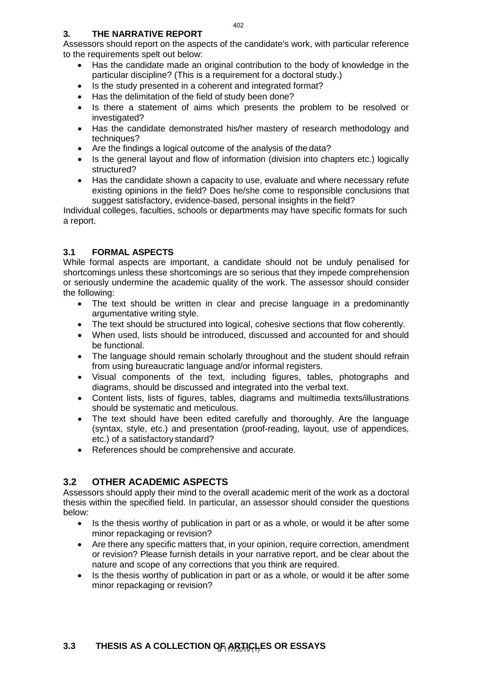### **3. THE NARRATIVE REPORT**

Assessors should report on the aspects of the candidate's work, with particular reference to the requirements spelt out below:

- Has the candidate made an original contribution to the body of knowledge in the particular discipline? (This is a requirement for a doctoral study.)
- Is the study presented in a coherent and integrated format?
- Has the delimitation of the field of study been done?
- Is there a statement of aims which presents the problem to be resolved or investigated?
- Has the candidate demonstrated his/her mastery of research methodology and techniques?
- Are the findings a logical outcome of the analysis of the data?
- Is the general layout and flow of information (division into chapters etc.) logically structured?
- Has the candidate shown a capacity to use, evaluate and where necessary refute existing opinions in the field? Does he/she come to responsible conclusions that suggest satisfactory, evidence-based, personal insights in the field?

Individual colleges, faculties, schools or departments may have specific formats for such a report.

# **3.1 FORMAL ASPECTS**

While formal aspects are important, a candidate should not be unduly penalised for shortcomings unless these shortcomings are so serious that they impede comprehension or seriously undermine the academic quality of the work. The assessor should consider the following:

- The text should be written in clear and precise language in a predominantly argumentative writing style.
- The text should be structured into logical, cohesive sections that flow coherently.
- When used, lists should be introduced, discussed and accounted for and should be functional.
- The language should remain scholarly throughout and the student should refrain from using bureaucratic language and/or informal registers.
- Visual components of the text, including figures, tables, photographs and diagrams, should be discussed and integrated into the verbal text.
- Content lists, lists of figures, tables, diagrams and multimedia texts/illustrations should be systematic and meticulous.
- The text should have been edited carefully and thoroughly. Are the language (syntax, style, etc.) and presentation (proof-reading, layout, use of appendices, etc.) of a satisfactory standard?
- References should be comprehensive and accurate.

# **3.2 OTHER ACADEMIC ASPECTS**

Assessors should apply their mind to the overall academic merit of the work as a doctoral thesis within the specified field. In particular, an assessor should consider the questions below:

- Is the thesis worthy of publication in part or as a whole, or would it be after some minor repackaging or revision?
- Are there any specific matters that, in your opinion, require correction, amendment or revision? Please furnish details in your narrative report, and be clear about the nature and scope of any corrections that you think are required.
- Is the thesis worthy of publication in part or as a whole, or would it be after some minor repackaging or revision?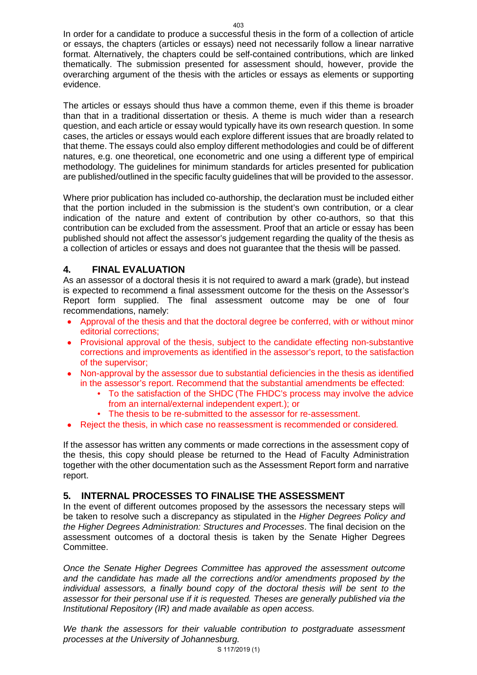In order for a candidate to produce a successful thesis in the form of a collection of article or essays, the chapters (articles or essays) need not necessarily follow a linear narrative format. Alternatively, the chapters could be self-contained contributions, which are linked thematically. The submission presented for assessment should, however, provide the overarching argument of the thesis with the articles or essays as elements or supporting evidence.

The articles or essays should thus have a common theme, even if this theme is broader than that in a traditional dissertation or thesis. A theme is much wider than a research question, and each article or essay would typically have its own research question. In some cases, the articles or essays would each explore different issues that are broadly related to that theme. The essays could also employ different methodologies and could be of different natures, e.g. one theoretical, one econometric and one using a different type of empirical methodology. The guidelines for minimum standards for articles presented for publication are published/outlined in the specific faculty guidelines that will be provided to the assessor.

Where prior publication has included co-authorship, the declaration must be included either that the portion included in the submission is the student's own contribution, or a clear indication of the nature and extent of contribution by other co-authors, so that this contribution can be excluded from the assessment. Proof that an article or essay has been published should not affect the assessor's judgement regarding the quality of the thesis as a collection of articles or essays and does not guarantee that the thesis will be passed.

# **4. FINAL EVALUATION**

As an assessor of a doctoral thesis it is not required to award a mark (grade), but instead is expected to recommend a final assessment outcome for the thesis on the Assessor's Report form supplied. The final assessment outcome may be one of four recommendations, namely:

- Approval of the thesis and that the doctoral degree be conferred, with or without minor editorial corrections;
- Provisional approval of the thesis, subject to the candidate effecting non-substantive corrections and improvements as identified in the assessor's report, to the satisfaction of the supervisor;
- Non-approval by the assessor due to substantial deficiencies in the thesis as identified in the assessor's report. Recommend that the substantial amendments be effected:
	- To the satisfaction of the SHDC (The FHDC's process may involve the advice from an internal/external independent expert.); or
	- The thesis to be re-submitted to the assessor for re-assessment.
- Reject the thesis, in which case no reassessment is recommended or considered*.*

If the assessor has written any comments or made corrections in the assessment copy of the thesis, this copy should please be returned to the Head of Faculty Administration together with the other documentation such as the Assessment Report form and narrative report.

# **5. INTERNAL PROCESSES TO FINALISE THE ASSESSMENT**

In the event of different outcomes proposed by the assessors the necessary steps will be taken to resolve such a discrepancy as stipulated in the *Higher Degrees Policy and the Higher Degrees Administration: Structures and Processes*. The final decision on the assessment outcomes of a doctoral thesis is taken by the Senate Higher Degrees Committee.

*Once the Senate Higher Degrees Committee has approved the assessment outcome and the candidate has made all the corrections and/or amendments proposed by the individual assessors, a finally bound copy of the doctoral thesis will be sent to the assessor for their personal use if it is requested. Theses are generally published via the Institutional Repository (IR) and made available as open access.*

*We thank the assessors for their valuable contribution to postgraduate assessment processes at the University of Johannesburg.*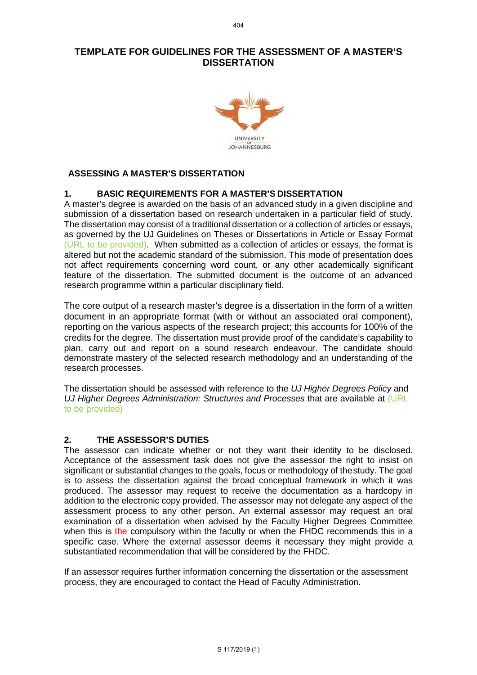## **TEMPLATE FOR GUIDELINES FOR THE ASSESSMENT OF A MASTER'S DISSERTATION**



## **ASSESSING A MASTER'S DISSERTATION**

#### **1. BASIC REQUIREMENTS FOR A MASTER'S DISSERTATION**

A master's degree is awarded on the basis of an advanced study in a given discipline and submission of a dissertation based on research undertaken in a particular field of study. The dissertation may consist of a traditional dissertation or a collection of articles or essays, as governed by the UJ Guidelines on Theses or Dissertations in Article or Essay Format (URL to be provided). When submitted as a collection of articles or essays, the format is altered but not the academic standard of the submission. This mode of presentation does not affect requirements concerning word count, or any other academically significant feature of the dissertation. The submitted document is the outcome of an advanced research programme within a particular disciplinary field.

The core output of a research master's degree is a dissertation in the form of a written document in an appropriate format (with or without an associated oral component), reporting on the various aspects of the research project; this accounts for 100% of the credits for the degree. The dissertation must provide proof of the candidate's capability to plan, carry out and report on a sound research endeavour. The candidate should demonstrate mastery of the selected research methodology and an understanding of the research processes.

The dissertation should be assessed with reference to the *UJ Higher Degrees Policy* and *UJ Higher Degrees Administration: Structures and Processes* that are available at (URL to be provided)

#### **2. THE ASSESSOR'S DUTIES**

The assessor can indicate whether or not they want their identity to be disclosed. Acceptance of the assessment task does not give the assessor the right to insist on significant or substantial changes to the goals, focus or methodology of thestudy. The goal is to assess the dissertation against the broad conceptual framework in which it was produced. The assessor may request to receive the documentation as a hardcopy in addition to the electronic copy provided. The assessor-may not delegate any aspect of the assessment process to any other person. An external assessor may request an oral examination of a dissertation when advised by the Faculty Higher Degrees Committee when this is the compulsory within the faculty or when the FHDC recommends this in a specific case. Where the external assessor deems it necessary they might provide a substantiated recommendation that will be considered by the FHDC.

If an assessor requires further information concerning the dissertation or the assessment process, they are encouraged to contact the Head of Faculty Administration.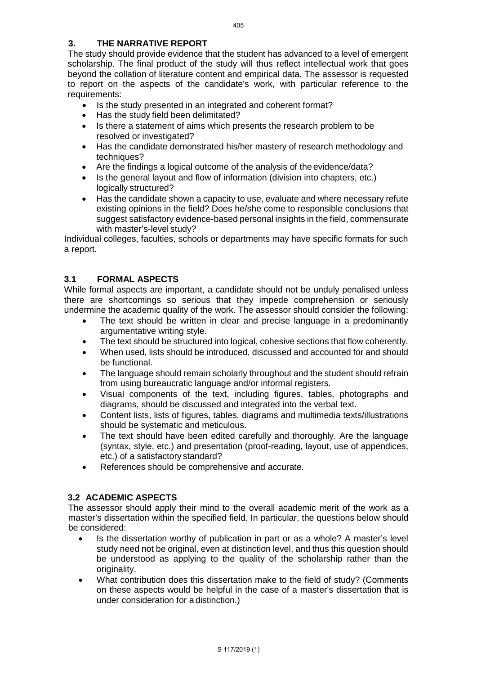## **3. THE NARRATIVE REPORT**

The study should provide evidence that the student has advanced to a level of emergent scholarship. The final product of the study will thus reflect intellectual work that goes beyond the collation of literature content and empirical data. The assessor is requested to report on the aspects of the candidate's work, with particular reference to the requirements:

- Is the study presented in an integrated and coherent format?
- Has the study field been delimitated?
- Is there a statement of aims which presents the research problem to be resolved or investigated?
- Has the candidate demonstrated his/her mastery of research methodology and techniques?
- Are the findings a logical outcome of the analysis of the evidence/data?
- Is the general layout and flow of information (division into chapters, etc.) logically structured?
- Has the candidate shown a capacity to use, evaluate and where necessary refute existing opinions in the field? Does he/she come to responsible conclusions that suggest satisfactory evidence-based personal insights in the field, commensurate with master's-level study?

Individual colleges, faculties, schools or departments may have specific formats for such a report.

#### **3.1 FORMAL ASPECTS**

While formal aspects are important, a candidate should not be unduly penalised unless there are shortcomings so serious that they impede comprehension or seriously undermine the academic quality of the work. The assessor should consider the following:

- The text should be written in clear and precise language in a predominantly argumentative writing style.
- The text should be structured into logical, cohesive sections that flow coherently.
- When used, lists should be introduced, discussed and accounted for and should be functional.
- The language should remain scholarly throughout and the student should refrain from using bureaucratic language and/or informal registers.
- Visual components of the text, including figures, tables, photographs and diagrams, should be discussed and integrated into the verbal text.
- Content lists, lists of figures, tables, diagrams and multimedia texts/illustrations should be systematic and meticulous.
- The text should have been edited carefully and thoroughly. Are the language (syntax, style, etc.) and presentation (proof-reading, layout, use of appendices, etc.) of a satisfactory standard?
- References should be comprehensive and accurate.

#### **3.2 ACADEMIC ASPECTS**

The assessor should apply their mind to the overall academic merit of the work as a master's dissertation within the specified field. In particular, the questions below should be considered:

- Is the dissertation worthy of publication in part or as a whole? A master's level study need not be original, even at distinction level, and thus this question should be understood as applying to the quality of the scholarship rather than the originality.
- What contribution does this dissertation make to the field of study? (Comments on these aspects would be helpful in the case of a master's dissertation that is under consideration for a distinction.)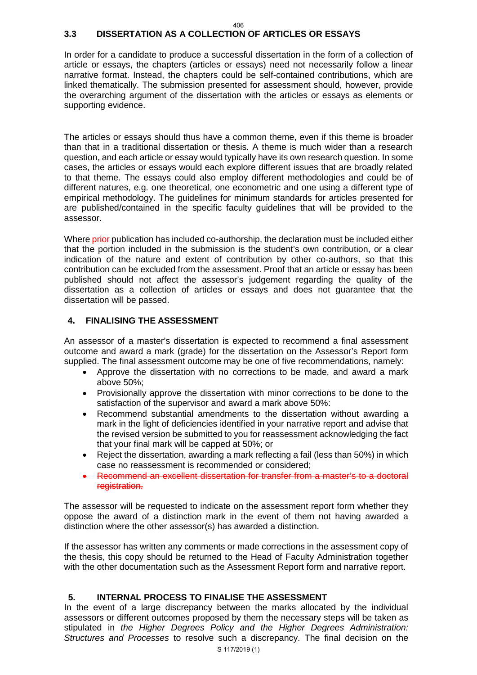#### 406

## **3.3 DISSERTATION AS A COLLECTION OF ARTICLES OR ESSAYS**

In order for a candidate to produce a successful dissertation in the form of a collection of article or essays, the chapters (articles or essays) need not necessarily follow a linear narrative format. Instead, the chapters could be self-contained contributions, which are linked thematically. The submission presented for assessment should, however, provide the overarching argument of the dissertation with the articles or essays as elements or supporting evidence.

The articles or essays should thus have a common theme, even if this theme is broader than that in a traditional dissertation or thesis. A theme is much wider than a research question, and each article or essay would typically have its own research question. In some cases, the articles or essays would each explore different issues that are broadly related to that theme. The essays could also employ different methodologies and could be of different natures, e.g. one theoretical, one econometric and one using a different type of empirical methodology. The guidelines for minimum standards for articles presented for are published/contained in the specific faculty guidelines that will be provided to the assessor.

Where **prior** publication has included co-authorship, the declaration must be included either that the portion included in the submission is the student's own contribution, or a clear indication of the nature and extent of contribution by other co-authors, so that this contribution can be excluded from the assessment. Proof that an article or essay has been published should not affect the assessor's judgement regarding the quality of the dissertation as a collection of articles or essays and does not guarantee that the dissertation will be passed.

#### **4. FINALISING THE ASSESSMENT**

An assessor of a master's dissertation is expected to recommend a final assessment outcome and award a mark (grade) for the dissertation on the Assessor's Report form supplied. The final assessment outcome may be one of five recommendations, namely:

- Approve the dissertation with no corrections to be made, and award a mark above 50%;
- Provisionally approve the dissertation with minor corrections to be done to the satisfaction of the supervisor and award a mark above 50%:
- Recommend substantial amendments to the dissertation without awarding a mark in the light of deficiencies identified in your narrative report and advise that the revised version be submitted to you for reassessment acknowledging the fact that your final mark will be capped at 50%; or
- Reject the dissertation, awarding a mark reflecting a fail (less than 50%) in which case no reassessment is recommended or considered;
- Recommend an excellent dissertation for transfer from a master's to a doctoral registration.

The assessor will be requested to indicate on the assessment report form whether they oppose the award of a distinction mark in the event of them not having awarded a distinction where the other assessor(s) has awarded a distinction.

If the assessor has written any comments or made corrections in the assessment copy of the thesis, this copy should be returned to the Head of Faculty Administration together with the other documentation such as the Assessment Report form and narrative report.

#### **5. INTERNAL PROCESS TO FINALISE THE ASSESSMENT**

In the event of a large discrepancy between the marks allocated by the individual assessors or different outcomes proposed by them the necessary steps will be taken as stipulated in *the Higher Degrees Policy and the Higher Degrees Administration: Structures and Processes* to resolve such a discrepancy. The final decision on the